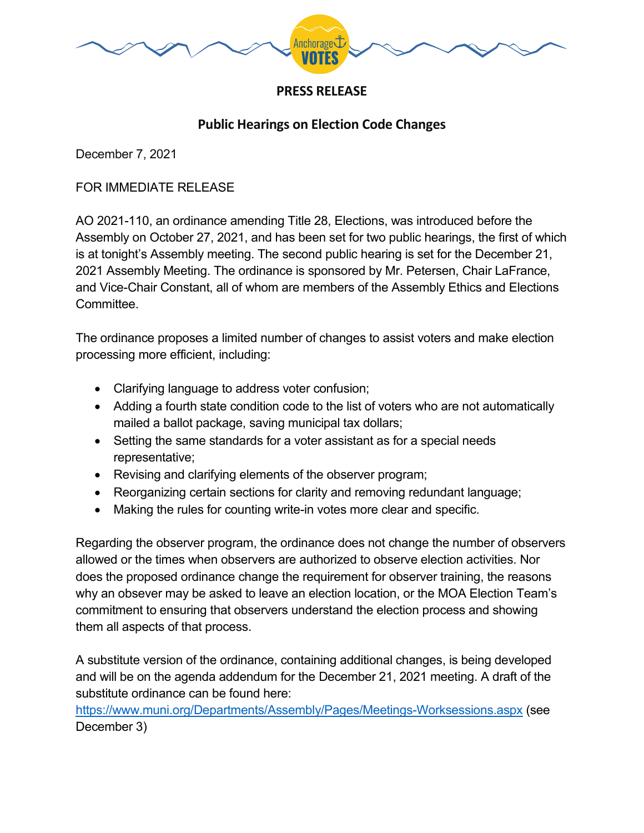

## **PRESS RELEASE**

## **Public Hearings on Election Code Changes**

December 7, 2021

## FOR IMMEDIATE RELEASE

AO 2021-110, an ordinance amending Title 28, Elections, was introduced before the Assembly on October 27, 2021, and has been set for two public hearings, the first of which is at tonight's Assembly meeting. The second public hearing is set for the December 21, 2021 Assembly Meeting. The ordinance is sponsored by Mr. Petersen, Chair LaFrance, and Vice-Chair Constant, all of whom are members of the Assembly Ethics and Elections **Committee** 

The ordinance proposes a limited number of changes to assist voters and make election processing more efficient, including:

- Clarifying language to address voter confusion;
- Adding a fourth state condition code to the list of voters who are not automatically mailed a ballot package, saving municipal tax dollars;
- Setting the same standards for a voter assistant as for a special needs representative;
- Revising and clarifying elements of the observer program;
- Reorganizing certain sections for clarity and removing redundant language;
- Making the rules for counting write-in votes more clear and specific.

Regarding the observer program, the ordinance does not change the number of observers allowed or the times when observers are authorized to observe election activities. Nor does the proposed ordinance change the requirement for observer training, the reasons why an obsever may be asked to leave an election location, or the MOA Election Team's commitment to ensuring that observers understand the election process and showing them all aspects of that process.

A substitute version of the ordinance, containing additional changes, is being developed and will be on the agenda addendum for the December 21, 2021 meeting. A draft of the substitute ordinance can be found here:

<https://www.muni.org/Departments/Assembly/Pages/Meetings-Worksessions.aspx> (see December 3)